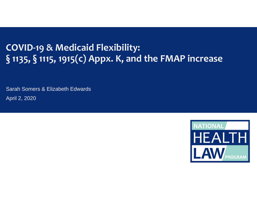#### **COVID‐19 & Medicaid Flexibility: § 1135, § 1115, 1915(c) Appx. K, and the FMAP increase**

Sarah Somers & Elizabeth Edwards April 2, 2020

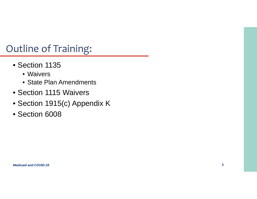# Outline of Training:

- Section 1135
	- Waivers
	- State Plan Amendments
- Section 1115 Waivers
- Section 1915(c) Appendix K
- Section 6008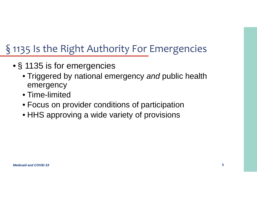# § 1135 Is the Right Authority For Emergencies

- § 1135 is for emergencies
	- Triggered by national emergency *and* public health emergency
	- Time-limited
	- Focus on provider conditions of participation
	- HHS approving a wide variety of provisions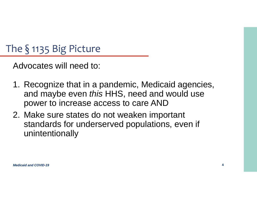# The § 1135 Big Picture

Advocates will need to:

- 1. Recognize that in a pandemic, Medicaid agencies, and maybe even *this* HHS, need and would use power to increase access to care AND
- 2. Make sure states do not weaken important standards for underserved populations, even if unintentionally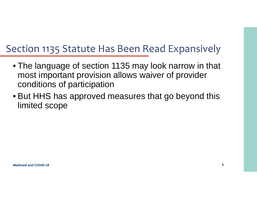#### Section 1135 Statute Has Been Read Expansively

- The language of section 1135 may look narrow in that most important provision allows waiver of provider conditions of participation
- But HHS has approved measures that go beyond this limited scope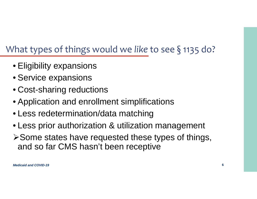#### What types of things would we *like* to see § 1135 do?

- Eligibility expansions
- Service expansions
- Cost-sharing reductions
- Application and enrollment simplifications
- Less redetermination/data matching
- Less prior authorization & utilization management
- Some states have requested these types of things, and so far CMS hasn't been receptive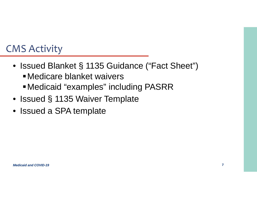# CMS Activity

- Issued Blanket § 1135 Guidance ("Fact Sheet")
	- Medicare blanket waivers
	- Medicaid "examples" including PASRR
- Issued § 1135 Waiver Template
- $\bullet$ Issued a SPA template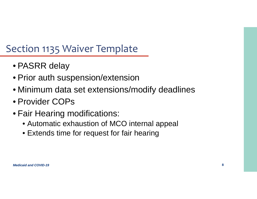# Section 1135 Waiver Template

- PASRR delay
- Prior auth suspension/extension
- Minimum data set extensions/modify deadlines
- Provider COPs
- Fair Hearing modifications:
	- Automatic exhaustion of MCO internal appeal
	- Extends time for request for fair hearing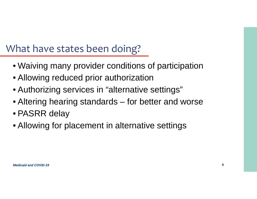#### What have states been doing?

- Waiving many provider conditions of participation
- Allowing reduced prior authorization
- Authorizing services in "alternative settings"
- Altering hearing standards for better and worse
- PASRR delay
- Allowing for placement in alternative settings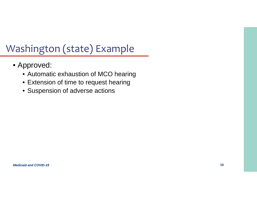# Washington (state) Example

- Approved:
	- Automatic exhaustion of MCO hearing
	- Extension of time to request hearing
	- Suspension of adverse actions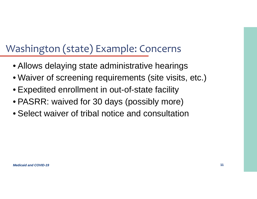# Washington (state) Example: Concerns

- Allows delaying state administrative hearings
- Waiver of screening requirements (site visits, etc.)
- Expedited enrollment in out-of-state facility
- PASRR: waived for 30 days (possibly more)
- Select waiver of tribal notice and consultation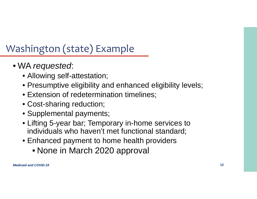# Washington (state) Example

- WA *requested*:
	- Allowing self-attestation;
	- Presumptive eligibility and enhanced eligibility levels;
	- Extension of redetermination timelines;
	- Cost-sharing reduction;
	- Supplemental payments;
	- Lifting 5-year bar; Temporary in-home services to individuals who haven't met functional standard;
	- Enhanced payment to home health providers
		- None in March 2020 approval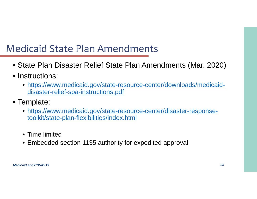- State Plan Disaster Relief State Plan Amendments (Mar. 2020)
- Instructions:
	- https://www.medicaid.gov/state-resource-center/downloads/medicaiddisaster-relief-spa-instructions.pdf
- Template:
	- https://www.medicaid.gov/state-resource-center/disaster-responsetoolkit/state-plan-flexibilities/index.html
	- Time limited
	- Embedded section 1135 authority for expedited approval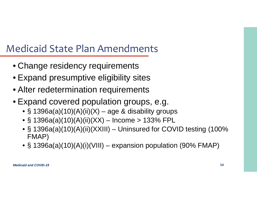- Change residency requirements
- Expand presumptive eligibility sites
- Alter redetermination requirements
- Expand covered population groups, e.g.
	- § 1396a(a)(10)(A)(ii)(X) age & disability groups
	- § 1396a(a)(10)(A)(ii)(XX) Income > 133% FPL
	- § 1396a(a)(10)(A)(ii)(XXIII) Uninsured for COVID testing (100% FMAP)
	- § 1396a(a)(10)(A)(i)(VIII) expansion population (90% FMAP)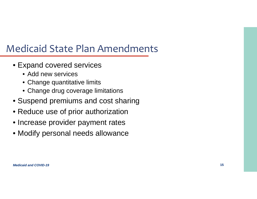- Expand covered services
	- Add new services
	- Change quantitative limits
	- Change drug coverage limitations
- Suspend premiums and cost sharing
- Reduce use of prior authorization
- Increase provider payment rates
- Modify personal needs allowance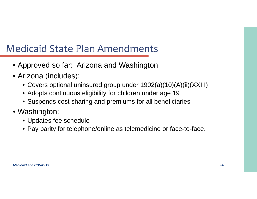- Approved so far: Arizona and Washington
- Arizona (includes):
	- Covers optional uninsured group under 1902(a)(10)(A)(ii)(XXIII)
	- Adopts continuous eligibility for children under age 19
	- Suspends cost sharing and premiums for all beneficiaries
- Washington:
	- Updates fee schedule
	- Pay parity for telephone/online as telemedicine or face-to-face.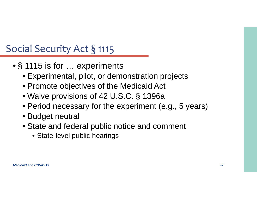# Social Security Act § 1115

- § 1115 is for … experiments
	- Experimental, pilot, or demonstration projects
	- Promote objectives of the Medicaid Act
	- Waive provisions of 42 U.S.C. § 1396a
	- Period necessary for the experiment (e.g., 5 years)
	- Budget neutral
	- State and federal public notice and comment
		- State-level public hearings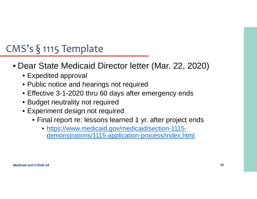# CMS's § 1115 Template

- Dear State Medicaid Director letter (Mar. 22, 2020)
	- Expedited approval
	- Public notice and hearings not required
	- Effective 3-1-2020 thru 60 days after emergency ends
	- Budget neutrality not required
	- Experiment design not required
		- Final report re: lessons learned 1 yr. after project ends
			- https://www.medicaid.gov/medicaid/section-1115 demonstrations/1115-application-process/index.html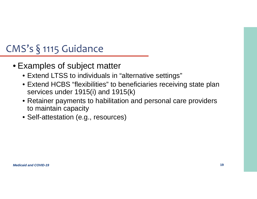# CMS's § 1115 Guidance

- Examples of subject matter
	- Extend LTSS to individuals in "alternative settings"
	- Extend HCBS "flexibilities" to beneficiaries receiving state plan services under 1915(i) and 1915(k)
	- Retainer payments to habilitation and personal care providers to maintain capacity
	- Self-attestation (e.g., resources)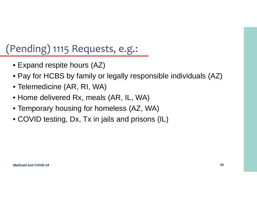# (Pending) 1115 Requests, e.g.:

- Expand respite hours (AZ)
- Pay for HCBS by family or legally responsible individuals (AZ)
- Telemedicine (AR, RI, WA)
- Home delivered Rx, meals (AR, IL, WA)
- Temporary housing for homeless (AZ, WA)
- COVID testing, Dx, Tx in jails and prisons (IL)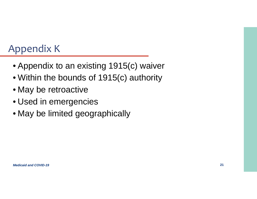# Appendix <sup>K</sup>

- Appendix to an existing 1915(c) waiver
- Within the bounds of 1915(c) authority
- May be retroactive
- Used in emergencies
- May be limited geographically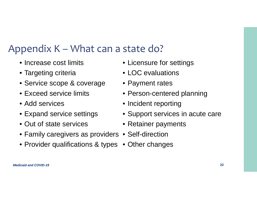#### Appendix <sup>K</sup> – What can <sup>a</sup> state do?

- Increase cost limits
- Targeting criteria
- Service scope & coverage
- Exceed service limits
- Add services
- Expand service settings
- Out of state services
- Family caregivers as providers Self-direction
- Provider qualifications & types Other changes
- Licensure for settings
- LOC evaluations
- Payment rates
- Person-centered planning
- Incident reporting
- Support services in acute care
- Retainer payments
- 
-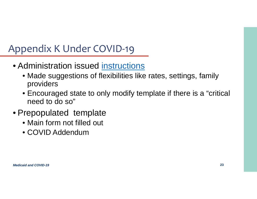# Appendix <sup>K</sup> Under COVID‐19

- Administration issued instructions
	- Made suggestions of flexibilities like rates, settings, family providers
	- Encouraged state to only modify template if there is a "critical need to do so"
- Prepopulated template
	- Main form not filled out
	- COVID Addendum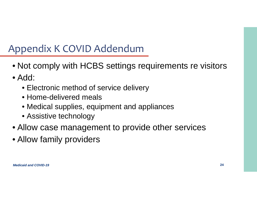# Appendix <sup>K</sup> COVID Addendum

- Not comply with HCBS settings requirements re visitors
- Add:
	- Electronic method of service delivery
	- Home-delivered meals
	- Medical supplies, equipment and appliances
	- Assistive technology
- Allow case management to provide other services
- Allow family providers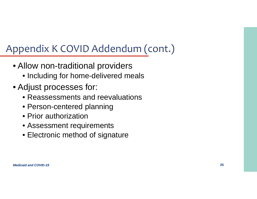# Appendix <sup>K</sup> COVID Addendum (cont.)

- Allow non-traditional providers
	- Including for home-delivered meals
- Adjust processes for:
	- Reassessments and reevaluations
	- Person-centered planning
	- Prior authorization
	- Assessment requirements
	- Electronic method of signature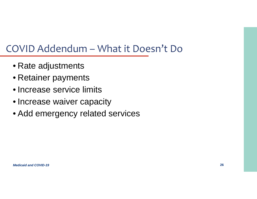#### COVID Addendum – What it Doesn't Do

- Rate adjustments
- Retainer payments
- Increase service limits
- Increase waiver capacity
- Add emergency related services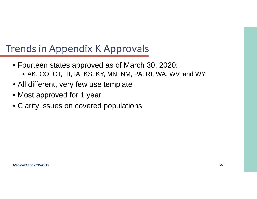- Fourteen states approved as of March 30, 2020:
	- AK, CO, CT, HI, IA, KS, KY, MN, NM, PA, RI, WA, WV, and WY
- All different, very few use template
- Most approved for 1 year
- Clarity issues on covered populations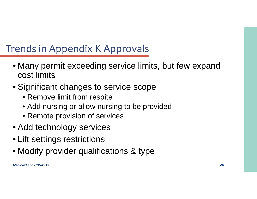- Many permit exceeding service limits, but few expand cost limits
- Significant changes to service scope
	- Remove limit from respite
	- Add nursing or allow nursing to be provided
	- Remote provision of services
- Add technology services
- Lift settings restrictions
- Modify provider qualifications & type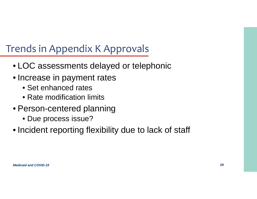- LOC assessments delayed or telephonic
- Increase in payment rates
	- Set enhanced rates
	- Rate modification limits
- Person-centered planning
	- Due process issue?
- Incident reporting flexibility due to lack of staff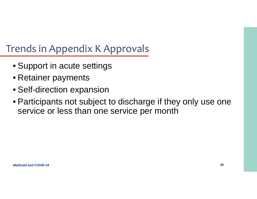- Support in acute settings
- Retainer payments
- Self-direction expansion
- Participants not subject to discharge if they only use one service or less than one service per month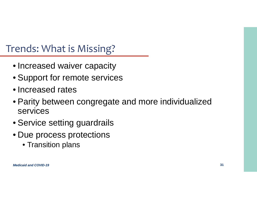#### Trends: What is Missing?

- Increased waiver capacity
- Support for remote services
- Increased rates
- Parity between congregate and more individualized services
- Service setting guardrails
- Due process protections
	- Transition plans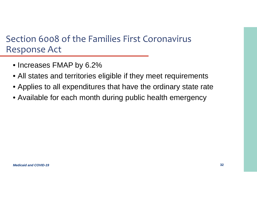#### Section 6008 of the Families First Coronavirus Response Act

- Increases FMAP by 6.2%
- All states and territories eligible if they meet requirements
- Applies to all expenditures that have the ordinary state rate
- Available for each month during public health emergency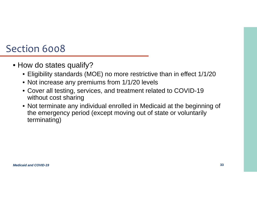#### Section 6008

- How do states qualify?
	- Eligibility standards (MOE) no more restrictive than in effect 1/1/20
	- Not increase any premiums from 1/1/20 levels
	- Cover all testing, services, and treatment related to COVID-19 without cost sharing
	- Not terminate any individual enrolled in Medicaid at the beginning of the emergency period (except moving out of state or voluntarily terminating)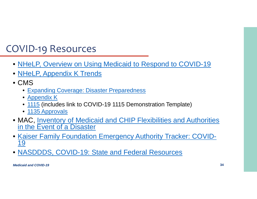#### COVID‐19 Resources

- NHeLP, Overview on Using Medicaid to Respond to COVID-19
- <u>• NHeLP, Appendix K Trends</u>
- CMS
	- Expanding Coverage: Disaster Preparedness
	- Appendix K
	- 1115 (includes link to COVID-19 1115 Demonstration Template)
	- <u>1135 Approvals</u>
- MAC, Inventory of Medicaid and CHIP Flexibilities and Authorities in the Event of a Disaster
- • Kaiser Family Foundation Emergency Authority Tracker: COVID-19
- •NASDDDS, COVID-19: State and Federal Resources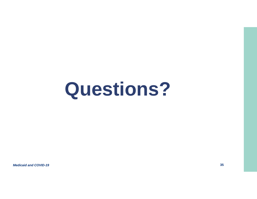# **Questions?**

*Medicaid and COVID-19*